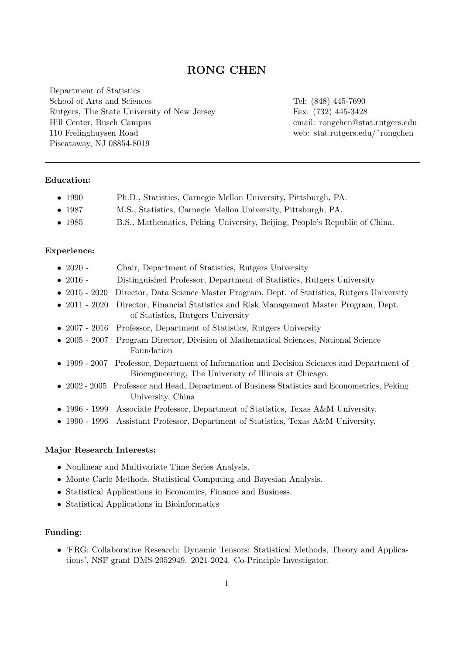# RONG CHEN

Department of Statistics School of Arts and Sciences Rutgers, The State University of New Jersey Hill Center, Busch Campus 110 Frelinghuysen Road Piscataway, NJ 08854-8019

Tel: (848) 445-7690 Fax: (732) 445-3428 email: rongchen@stat.rutgers.edu web: stat.rutgers.edu/˜rongchen

## Education:

| Ph.D., Statistics, Carnegie Mellon University, Pittsburgh, PA.<br>$\bullet$ 1990 |  |
|----------------------------------------------------------------------------------|--|
|----------------------------------------------------------------------------------|--|

- 1987 M.S., Statistics, Carnegie Mellon University, Pittsburgh, PA.
- 1985 B.S., Mathematics, Peking University, Beijing, People's Republic of China.

#### Experience:

| $\bullet$ 2020 -      | Chair, Department of Statistics, Rutgers University                                                                                                                                                                                                                                                                                                                           |
|-----------------------|-------------------------------------------------------------------------------------------------------------------------------------------------------------------------------------------------------------------------------------------------------------------------------------------------------------------------------------------------------------------------------|
| $\bullet$ 2016 -      | Distinguished Professor, Department of Statistics, Rutgers University                                                                                                                                                                                                                                                                                                         |
| $\bullet$ 2015 - 2020 | Director, Data Science Master Program, Dept. of Statistics, Rutgers University                                                                                                                                                                                                                                                                                                |
| $\bullet$ 2011 - 2020 | Director, Financial Statistics and Risk Management Master Program, Dept.<br>of Statistics, Rutgers University                                                                                                                                                                                                                                                                 |
|                       | • 2007 - 2016 Professor, Department of Statistics, Rutgers University                                                                                                                                                                                                                                                                                                         |
|                       | • 2005 - 2007 Program Director, Division of Mathematical Sciences, National Science<br>Foundation                                                                                                                                                                                                                                                                             |
|                       | • 1999 - 2007 Professor, Department of Information and Decision Sciences and Department of<br>Bioengineering, The University of Illinois at Chicago.                                                                                                                                                                                                                          |
|                       | • 2002 - 2005 Professor and Head, Department of Business Statistics and Econometrics, Peking<br>University, China                                                                                                                                                                                                                                                             |
|                       | • 1996 - 1999 Associate Professor, Department of Statistics, Texas A&M University.                                                                                                                                                                                                                                                                                            |
|                       | $\mathcal{L}(\mathcal{A})$ and $\mathcal{A}(\mathcal{A})$ and $\mathcal{A}(\mathcal{A})$ and $\mathcal{A}(\mathcal{A})$ and $\mathcal{A}(\mathcal{A})$ and $\mathcal{A}(\mathcal{A})$ and $\mathcal{A}(\mathcal{A})$ and $\mathcal{A}(\mathcal{A})$ and $\mathcal{A}(\mathcal{A})$ and $\mathcal{A}(\mathcal{A})$ and $\mathcal{A}(\mathcal{A})$ and $\mathcal{A}(\mathcal{A$ |

• 1990 - 1996 Assistant Professor, Department of Statistics, Texas A&M University.

#### Major Research Interests:

- Nonlinear and Multivariate Time Series Analysis.
- Monte Carlo Methods, Statistical Computing and Bayesian Analysis.
- Statistical Applications in Economics, Finance and Business.
- Statistical Applications in Bioinformatics

## Funding:

• 'FRG: Collaborative Research: Dynamic Tensors: Statistical Methods, Theory and Applications', NSF grant DMS-2052949. 2021-2024. Co-Principle Investigator.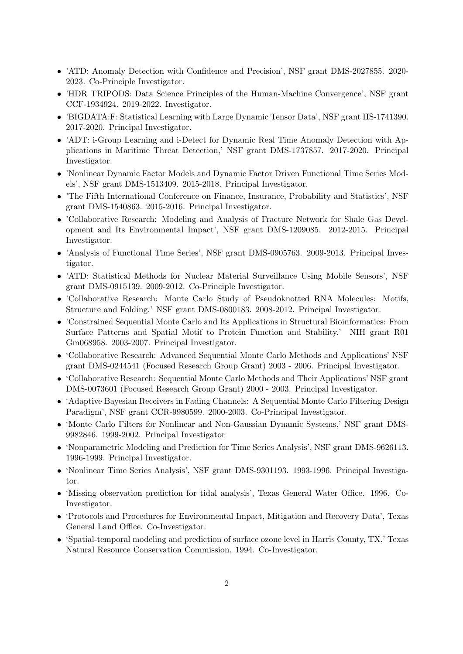- 'ATD: Anomaly Detection with Confidence and Precision', NSF grant DMS-2027855. 2020- 2023. Co-Principle Investigator.
- 'HDR TRIPODS: Data Science Principles of the Human-Machine Convergence', NSF grant CCF-1934924. 2019-2022. Investigator.
- 'BIGDATA:F: Statistical Learning with Large Dynamic Tensor Data', NSF grant IIS-1741390. 2017-2020. Principal Investigator.
- 'ADT: i-Group Learning and i-Detect for Dynamic Real Time Anomaly Detection with Applications in Maritime Threat Detection,' NSF grant DMS-1737857. 2017-2020. Principal Investigator.
- 'Nonlinear Dynamic Factor Models and Dynamic Factor Driven Functional Time Series Models', NSF grant DMS-1513409. 2015-2018. Principal Investigator.
- 'The Fifth International Conference on Finance, Insurance, Probability and Statistics', NSF grant DMS-1540863. 2015-2016. Principal Investigator.
- 'Collaborative Research: Modeling and Analysis of Fracture Network for Shale Gas Development and Its Environmental Impact', NSF grant DMS-1209085. 2012-2015. Principal Investigator.
- 'Analysis of Functional Time Series', NSF grant DMS-0905763. 2009-2013. Principal Investigator.
- 'ATD: Statistical Methods for Nuclear Material Surveillance Using Mobile Sensors', NSF grant DMS-0915139. 2009-2012. Co-Principle Investigator.
- 'Collaborative Research: Monte Carlo Study of Pseudoknotted RNA Molecules: Motifs, Structure and Folding.' NSF grant DMS-0800183. 2008-2012. Principal Investigator.
- 'Constrained Sequential Monte Carlo and Its Applications in Structural Bioinformatics: From Surface Patterns and Spatial Motif to Protein Function and Stability.' NIH grant R01 Gm068958. 2003-2007. Principal Investigator.
- 'Collaborative Research: Advanced Sequential Monte Carlo Methods and Applications' NSF grant DMS-0244541 (Focused Research Group Grant) 2003 - 2006. Principal Investigator.
- 'Collaborative Research: Sequential Monte Carlo Methods and Their Applications' NSF grant DMS-0073601 (Focused Research Group Grant) 2000 - 2003. Principal Investigator.
- 'Adaptive Bayesian Receivers in Fading Channels: A Sequential Monte Carlo Filtering Design Paradigm', NSF grant CCR-9980599. 2000-2003. Co-Principal Investigator.
- 'Monte Carlo Filters for Nonlinear and Non-Gaussian Dynamic Systems,' NSF grant DMS-9982846. 1999-2002. Principal Investigator
- 'Nonparametric Modeling and Prediction for Time Series Analysis', NSF grant DMS-9626113. 1996-1999. Principal Investigator.
- 'Nonlinear Time Series Analysis', NSF grant DMS-9301193. 1993-1996. Principal Investigator.
- 'Missing observation prediction for tidal analysis', Texas General Water Office. 1996. Co-Investigator.
- 'Protocols and Procedures for Environmental Impact, Mitigation and Recovery Data', Texas General Land Office. Co-Investigator.
- 'Spatial-temporal modeling and prediction of surface ozone level in Harris County, TX,' Texas Natural Resource Conservation Commission. 1994. Co-Investigator.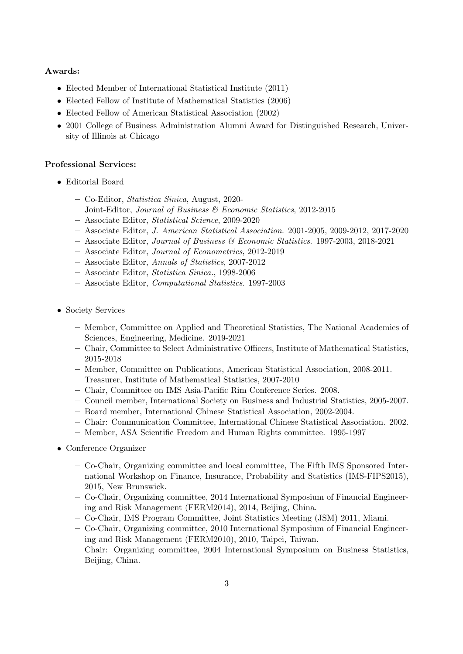#### Awards:

- Elected Member of International Statistical Institute (2011)
- Elected Fellow of Institute of Mathematical Statistics (2006)
- Elected Fellow of American Statistical Association (2002)
- 2001 College of Business Administration Alumni Award for Distinguished Research, University of Illinois at Chicago

#### Professional Services:

- Editorial Board
	- Co-Editor, Statistica Sinica, August, 2020-
	- Joint-Editor, Journal of Business & Economic Statistics, 2012-2015
	- Associate Editor, Statistical Science, 2009-2020
	- Associate Editor, J. American Statistical Association. 2001-2005, 2009-2012, 2017-2020
	- $-$  Associate Editor, Journal of Business & Economic Statistics. 1997-2003, 2018-2021
	- Associate Editor, Journal of Econometrics, 2012-2019
	- Associate Editor, Annals of Statistics, 2007-2012
	- Associate Editor, Statistica Sinica., 1998-2006
	- Associate Editor, Computational Statistics. 1997-2003
- Society Services
	- Member, Committee on Applied and Theoretical Statistics, The National Academies of Sciences, Engineering, Medicine. 2019-2021
	- Chair, Committee to Select Administrative Officers, Institute of Mathematical Statistics, 2015-2018
	- Member, Committee on Publications, American Statistical Association, 2008-2011.
	- Treasurer, Institute of Mathematical Statistics, 2007-2010
	- Chair, Committee on IMS Asia-Pacific Rim Conference Series. 2008.
	- Council member, International Society on Business and Industrial Statistics, 2005-2007.
	- Board member, International Chinese Statistical Association, 2002-2004.
	- Chair: Communication Committee, International Chinese Statistical Association. 2002.
	- Member, ASA Scientific Freedom and Human Rights committee. 1995-1997
- Conference Organizer
	- Co-Chair, Organizing committee and local committee, The Fifth IMS Sponsored International Workshop on Finance, Insurance, Probability and Statistics (IMS-FIPS2015), 2015, New Brunswick.
	- Co-Chair, Organizing committee, 2014 International Symposium of Financial Engineering and Risk Management (FERM2014), 2014, Beijing, China.
	- Co-Chair, IMS Program Committee, Joint Statistics Meeting (JSM) 2011, Miami.
	- Co-Chair, Organizing committee, 2010 International Symposium of Financial Engineering and Risk Management (FERM2010), 2010, Taipei, Taiwan.
	- Chair: Organizing committee, 2004 International Symposium on Business Statistics, Beijing, China.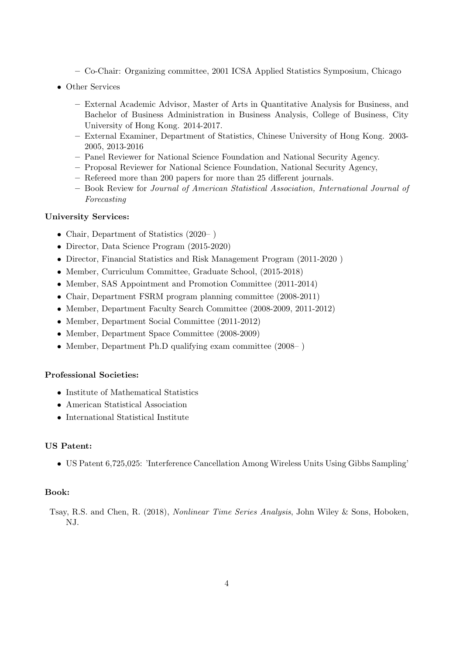- Co-Chair: Organizing committee, 2001 ICSA Applied Statistics Symposium, Chicago
- Other Services
	- External Academic Advisor, Master of Arts in Quantitative Analysis for Business, and Bachelor of Business Administration in Business Analysis, College of Business, City University of Hong Kong. 2014-2017.
	- External Examiner, Department of Statistics, Chinese University of Hong Kong. 2003- 2005, 2013-2016
	- Panel Reviewer for National Science Foundation and National Security Agency.
	- Proposal Reviewer for National Science Foundation, National Security Agency,
	- Refereed more than 200 papers for more than 25 different journals.
	- Book Review for Journal of American Statistical Association, International Journal of Forecasting

## University Services:

- Chair, Department of Statistics (2020–)
- Director, Data Science Program (2015-2020)
- Director, Financial Statistics and Risk Management Program (2011-2020 )
- Member, Curriculum Committee, Graduate School, (2015-2018)
- Member, SAS Appointment and Promotion Committee (2011-2014)
- Chair, Department FSRM program planning committee (2008-2011)
- Member, Department Faculty Search Committee (2008-2009, 2011-2012)
- Member, Department Social Committee (2011-2012)
- Member, Department Space Committee (2008-2009)
- Member, Department Ph.D qualifying exam committee (2008–)

## Professional Societies:

- Institute of Mathematical Statistics
- American Statistical Association
- International Statistical Institute

## US Patent:

• US Patent 6,725,025: 'Interference Cancellation Among Wireless Units Using Gibbs Sampling'

## Book:

Tsay, R.S. and Chen, R. (2018), Nonlinear Time Series Analysis, John Wiley & Sons, Hoboken, NJ.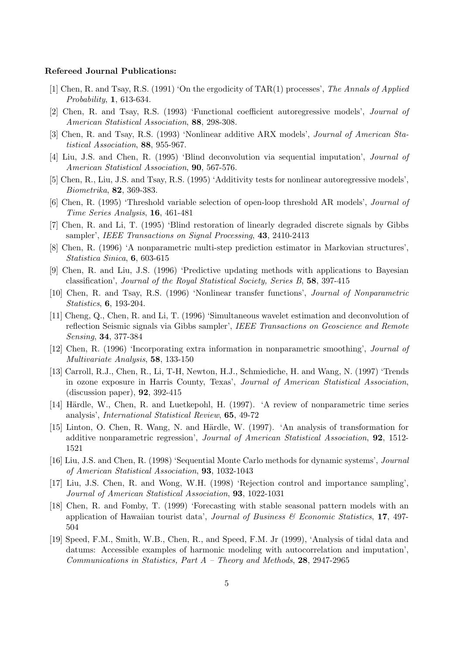#### Refereed Journal Publications:

- [1] Chen, R. and Tsay, R.S. (1991) 'On the ergodicity of TAR(1) processes', The Annals of Applied Probability, 1, 613-634.
- [2] Chen, R. and Tsay, R.S. (1993) 'Functional coefficient autoregressive models', Journal of American Statistical Association, 88, 298-308.
- [3] Chen, R. and Tsay, R.S. (1993) 'Nonlinear additive ARX models', Journal of American Statistical Association, 88, 955-967.
- [4] Liu, J.S. and Chen, R. (1995) 'Blind deconvolution via sequential imputation', Journal of American Statistical Association, 90, 567-576.
- [5] Chen, R., Liu, J.S. and Tsay, R.S. (1995) 'Additivity tests for nonlinear autoregressive models', Biometrika, 82, 369-383.
- [6] Chen, R. (1995) 'Threshold variable selection of open-loop threshold AR models', Journal of Time Series Analysis, 16, 461-481
- [7] Chen, R. and Li, T. (1995) 'Blind restoration of linearly degraded discrete signals by Gibbs sampler', IEEE Transactions on Signal Processing, 43, 2410-2413
- [8] Chen, R. (1996) 'A nonparametric multi-step prediction estimator in Markovian structures', Statistica Sinica, 6, 603-615
- [9] Chen, R. and Liu, J.S. (1996) 'Predictive updating methods with applications to Bayesian classification', Journal of the Royal Statistical Society, Series B, 58, 397-415
- [10] Chen, R. and Tsay, R.S. (1996) 'Nonlinear transfer functions', Journal of Nonparametric Statistics, 6, 193-204.
- [11] Cheng, Q., Chen, R. and Li, T. (1996) 'Simultaneous wavelet estimation and deconvolution of reflection Seismic signals via Gibbs sampler', IEEE Transactions on Geoscience and Remote Sensing, 34, 377-384
- [12] Chen, R. (1996) 'Incorporating extra information in nonparametric smoothing', Journal of Multivariate Analysis, 58, 133-150
- [13] Carroll, R.J., Chen, R., Li, T-H, Newton, H.J., Schmiediche, H. and Wang, N. (1997) 'Trends in ozone exposure in Harris County, Texas', Journal of American Statistical Association, (discussion paper), 92, 392-415
- [14] Härdle, W., Chen, R. and Luetkepohl, H. (1997). 'A review of nonparametric time series analysis', International Statistical Review, 65, 49-72
- [15] Linton, O. Chen, R. Wang, N. and Härdle, W. (1997). 'An analysis of transformation for additive nonparametric regression', Journal of American Statistical Association, 92, 1512- 1521
- [16] Liu, J.S. and Chen, R. (1998) 'Sequential Monte Carlo methods for dynamic systems', Journal of American Statistical Association, 93, 1032-1043
- [17] Liu, J.S. Chen, R. and Wong, W.H. (1998) 'Rejection control and importance sampling', Journal of American Statistical Association, 93, 1022-1031
- [18] Chen, R. and Fomby, T. (1999) 'Forecasting with stable seasonal pattern models with an application of Hawaiian tourist data', Journal of Business  $\mathscr B$  Economic Statistics, 17, 497-504
- [19] Speed, F.M., Smith, W.B., Chen, R., and Speed, F.M. Jr (1999), 'Analysis of tidal data and datums: Accessible examples of harmonic modeling with autocorrelation and imputation', Communications in Statistics, Part  $A$  – Theory and Methods, 28, 2947-2965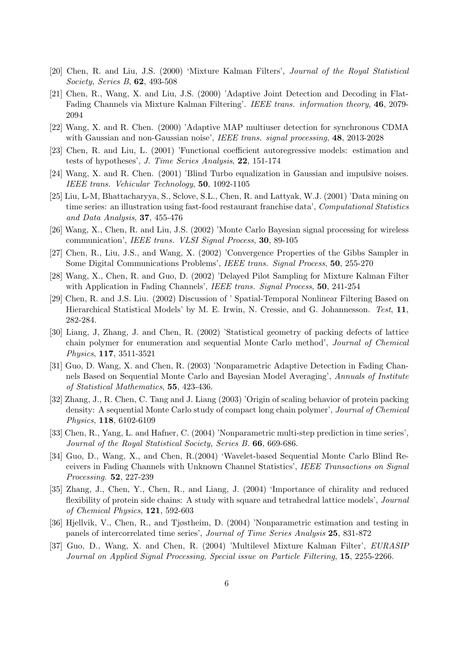- [20] Chen, R. and Liu, J.S. (2000) 'Mixture Kalman Filters', Journal of the Royal Statistical Society, Series B, 62, 493-508
- [21] Chen, R., Wang, X. and Liu, J.S. (2000) 'Adaptive Joint Detection and Decoding in Flat-Fading Channels via Mixture Kalman Filtering'. IEEE trans. information theory, 46, 2079- 2094
- [22] Wang, X. and R. Chen. (2000) 'Adaptive MAP multiuser detection for synchronous CDMA with Gaussian and non-Gaussian noise', IEEE trans. signal processing, 48, 2013-2028
- [23] Chen, R. and Liu, L. (2001) 'Functional coefficient autoregressive models: estimation and tests of hypotheses', J. Time Series Analysis, 22, 151-174
- [24] Wang, X. and R. Chen. (2001) 'Blind Turbo equalization in Gaussian and impulsive noises. IEEE trans. Vehicular Technology, 50, 1092-1105
- [25] Liu, L-M, Bhattacharyya, S., Sclove, S.L., Chen, R. and Lattyak, W.J. (2001) 'Data mining on time series: an illustration using fast-food restaurant franchise data', *Computational Statistics* and Data Analysis, 37, 455-476
- [26] Wang, X., Chen, R. and Liu, J.S. (2002) 'Monte Carlo Bayesian signal processing for wireless communication', IEEE trans. VLSI Signal Process, 30, 89-105
- [27] Chen, R., Liu, J.S., and Wang, X. (2002) 'Convergence Properties of the Gibbs Sampler in Some Digital Communications Problems', IEEE trans. Signal Process, 50, 255-270
- [28] Wang, X., Chen, R. and Guo, D. (2002) 'Delayed Pilot Sampling for Mixture Kalman Filter with Application in Fading Channels', IEEE trans. Signal Process, 50, 241-254
- [29] Chen, R. and J.S. Liu. (2002) Discussion of ' Spatial-Temporal Nonlinear Filtering Based on Hierarchical Statistical Models' by M. E. Irwin, N. Cressie, and G. Johannesson. Test, 11, 282-284.
- [30] Liang, J, Zhang, J. and Chen, R. (2002) 'Statistical geometry of packing defects of lattice chain polymer for enumeration and sequential Monte Carlo method', Journal of Chemical Physics, 117, 3511-3521
- [31] Guo, D. Wang, X. and Chen, R. (2003) 'Nonparametric Adaptive Detection in Fading Channels Based on Sequential Monte Carlo and Bayesian Model Averaging', Annuals of Institute of Statistical Mathematics, 55, 423-436.
- [32] Zhang, J., R. Chen, C. Tang and J. Liang (2003) 'Origin of scaling behavior of protein packing density: A sequential Monte Carlo study of compact long chain polymer', Journal of Chemical Physics, 118, 6102-6109
- [33] Chen, R., Yang, L. and Hafner, C. (2004) 'Nonparametric multi-step prediction in time series', Journal of the Royal Statistical Society, Series B. 66, 669-686.
- [34] Guo, D., Wang, X., and Chen, R.(2004) 'Wavelet-based Sequential Monte Carlo Blind Receivers in Fading Channels with Unknown Channel Statistics', IEEE Transactions on Signal Processing. 52, 227-239
- [35] Zhang, J., Chen, Y., Chen, R., and Liang, J. (2004) 'Importance of chirality and reduced flexibility of protein side chains: A study with square and tetrahedral lattice models', Journal of Chemical Physics, 121, 592-603
- [36] Hjellvik, V., Chen, R., and Tjøstheim, D. (2004) 'Nonparametric estimation and testing in panels of intercorrelated time series', Journal of Time Series Analysis 25, 831-872
- [37] Guo, D., Wang, X. and Chen, R. (2004) 'Multilevel Mixture Kalman Filter', EURASIP Journal on Applied Signal Processing, Special issue on Particle Filtering, 15, 2255-2266.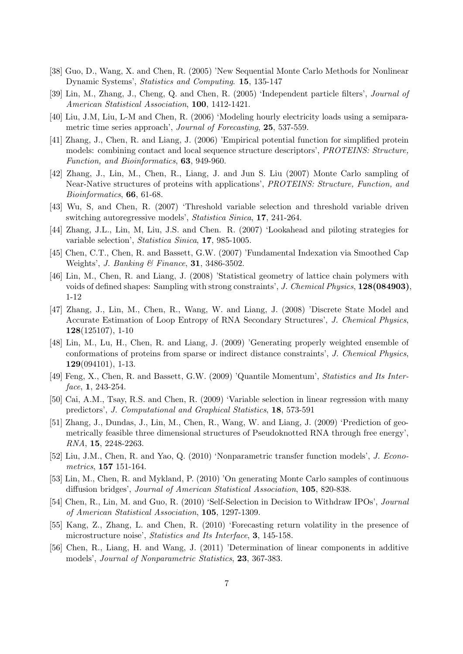- [38] Guo, D., Wang, X. and Chen, R. (2005) 'New Sequential Monte Carlo Methods for Nonlinear Dynamic Systems', Statistics and Computing. 15, 135-147
- [39] Lin, M., Zhang, J., Cheng, Q. and Chen, R. (2005) 'Independent particle filters', Journal of American Statistical Association, 100, 1412-1421.
- [40] Liu, J.M, Liu, L-M and Chen, R. (2006) 'Modeling hourly electricity loads using a semiparametric time series approach', Journal of Forecasting, 25, 537-559.
- [41] Zhang, J., Chen, R. and Liang, J. (2006) 'Empirical potential function for simplified protein models: combining contact and local sequence structure descriptors', PROTEINS: Structure, Function, and Bioinformatics, 63, 949-960.
- [42] Zhang, J., Lin, M., Chen, R., Liang, J. and Jun S. Liu (2007) Monte Carlo sampling of Near-Native structures of proteins with applications', *PROTEINS: Structure, Function, and* Bioinformatics, 66, 61-68.
- [43] Wu, S, and Chen, R. (2007) 'Threshold variable selection and threshold variable driven switching autoregressive models', *Statistica Sinica*, 17, 241-264.
- [44] Zhang, J.L., Lin, M, Liu, J.S. and Chen. R. (2007) 'Lookahead and piloting strategies for variable selection', Statistica Sinica, 17, 985-1005.
- [45] Chen, C.T., Chen, R. and Bassett, G.W. (2007) 'Fundamental Indexation via Smoothed Cap Weights', J. Banking & Finance, 31, 3486-3502.
- [46] Lin, M., Chen, R. and Liang, J. (2008) 'Statistical geometry of lattice chain polymers with voids of defined shapes: Sampling with strong constraints', J. Chemical Physics, 128(084903). 1-12
- [47] Zhang, J., Lin, M., Chen, R., Wang, W. and Liang, J. (2008) 'Discrete State Model and Accurate Estimation of Loop Entropy of RNA Secondary Structures', J. Chemical Physics, 128(125107), 1-10
- [48] Lin, M., Lu, H., Chen, R. and Liang, J. (2009) 'Generating properly weighted ensemble of conformations of proteins from sparse or indirect distance constraints', J. Chemical Physics,  $129(094101), 1-13.$
- [49] Feng, X., Chen, R. and Bassett, G.W. (2009) 'Quantile Momentum', Statistics and Its Interface, **1**, 243-254.
- [50] Cai, A.M., Tsay, R.S. and Chen, R. (2009) 'Variable selection in linear regression with many predictors', J. Computational and Graphical Statistics, 18, 573-591
- [51] Zhang, J., Dundas, J., Lin, M., Chen, R., Wang, W. and Liang, J. (2009) 'Prediction of geometrically feasible three dimensional structures of Pseudoknotted RNA through free energy', RNA, 15, 2248-2263.
- [52] Liu, J.M., Chen, R. and Yao, Q. (2010) 'Nonparametric transfer function models', J. Econometrics, 157 151-164.
- [53] Lin, M., Chen, R. and Mykland, P. (2010) 'On generating Monte Carlo samples of continuous diffusion bridges', Journal of American Statistical Association, 105, 820-838.
- [54] Chen, R., Lin, M. and Guo, R. (2010) 'Self-Selection in Decision to Withdraw IPOs', Journal of American Statistical Association, 105, 1297-1309.
- [55] Kang, Z., Zhang, L. and Chen, R. (2010) 'Forecasting return volatility in the presence of microstructure noise', Statistics and Its Interface, 3, 145-158.
- [56] Chen, R., Liang, H. and Wang, J. (2011) 'Determination of linear components in additive models', Journal of Nonparametric Statistics, 23, 367-383.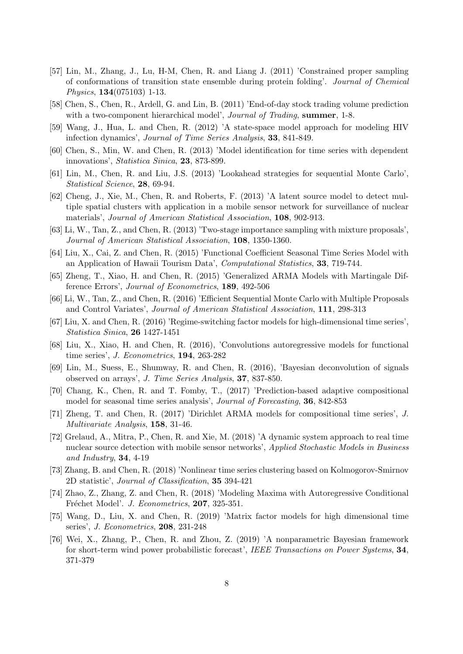- [57] Lin, M., Zhang, J., Lu, H-M, Chen, R. and Liang J. (2011) 'Constrained proper sampling of conformations of transition state ensemble during protein folding'. Journal of Chemical Physics, 134(075103) 1-13.
- [58] Chen, S., Chen, R., Ardell, G. and Lin, B. (2011) 'End-of-day stock trading volume prediction with a two-component hierarchical model', *Journal of Trading*, summer, 1-8.
- [59] Wang, J., Hua, L. and Chen, R. (2012) 'A state-space model approach for modeling HIV infection dynamics', Journal of Time Series Analysis, 33, 841-849.
- [60] Chen, S., Min, W. and Chen, R. (2013) 'Model identification for time series with dependent innovations', Statistica Sinica, 23, 873-899.
- [61] Lin, M., Chen, R. and Liu, J.S. (2013) 'Lookahead strategies for sequential Monte Carlo', Statistical Science, 28, 69-94.
- [62] Cheng, J., Xie, M., Chen, R. and Roberts, F. (2013) 'A latent source model to detect multiple spatial clusters with application in a mobile sensor network for surveillance of nuclear materials', Journal of American Statistical Association, 108, 902-913.
- [63] Li, W., Tan, Z., and Chen, R. (2013) 'Two-stage importance sampling with mixture proposals', Journal of American Statistical Association, 108, 1350-1360.
- [64] Liu, X., Cai, Z. and Chen, R. (2015) 'Functional Coefficient Seasonal Time Series Model with an Application of Hawaii Tourism Data', Computational Statistics, 33, 719-744.
- [65] Zheng, T., Xiao, H. and Chen, R. (2015) 'Generalized ARMA Models with Martingale Difference Errors', Journal of Econometrics, 189, 492-506
- [66] Li, W., Tan, Z., and Chen, R. (2016) 'Efficient Sequential Monte Carlo with Multiple Proposals and Control Variates', Journal of American Statistical Association, 111, 298-313
- [67] Liu, X. and Chen, R. (2016) 'Regime-switching factor models for high-dimensional time series', Statistica Sinica, 26 1427-1451
- [68] Liu, X., Xiao, H. and Chen, R. (2016), 'Convolutions autoregressive models for functional time series', J. Econometrics, 194, 263-282
- [69] Lin, M., Suess, E., Shumway, R. and Chen, R. (2016), 'Bayesian deconvolution of signals observed on arrays', J. Time Series Analysis, 37, 837-850.
- [70] Chang, K., Chen, R. and T. Fomby, T., (2017) 'Prediction-based adaptive compositional model for seasonal time series analysis', Journal of Forecasting, 36, 842-853
- [71] Zheng, T. and Chen, R. (2017) 'Dirichlet ARMA models for compositional time series', J. Multivariate Analysis, 158, 31-46.
- [72] Grelaud, A., Mitra, P., Chen, R. and Xie, M. (2018) 'A dynamic system approach to real time nuclear source detection with mobile sensor networks', Applied Stochastic Models in Business and Industry, 34, 4-19
- [73] Zhang, B. and Chen, R. (2018) 'Nonlinear time series clustering based on Kolmogorov-Smirnov 2D statistic', Journal of Classification, 35 394-421
- [74] Zhao, Z., Zhang, Z. and Chen, R. (2018) 'Modeling Maxima with Autoregressive Conditional Fréchet Model'. J. Econometrics, 207, 325-351.
- [75] Wang, D., Liu, X. and Chen, R. (2019) 'Matrix factor models for high dimensional time series', J. Econometrics, 208, 231-248
- [76] Wei, X., Zhang, P., Chen, R. and Zhou, Z. (2019) 'A nonparametric Bayesian framework for short-term wind power probabilistic forecast', IEEE Transactions on Power Systems, 34, 371-379